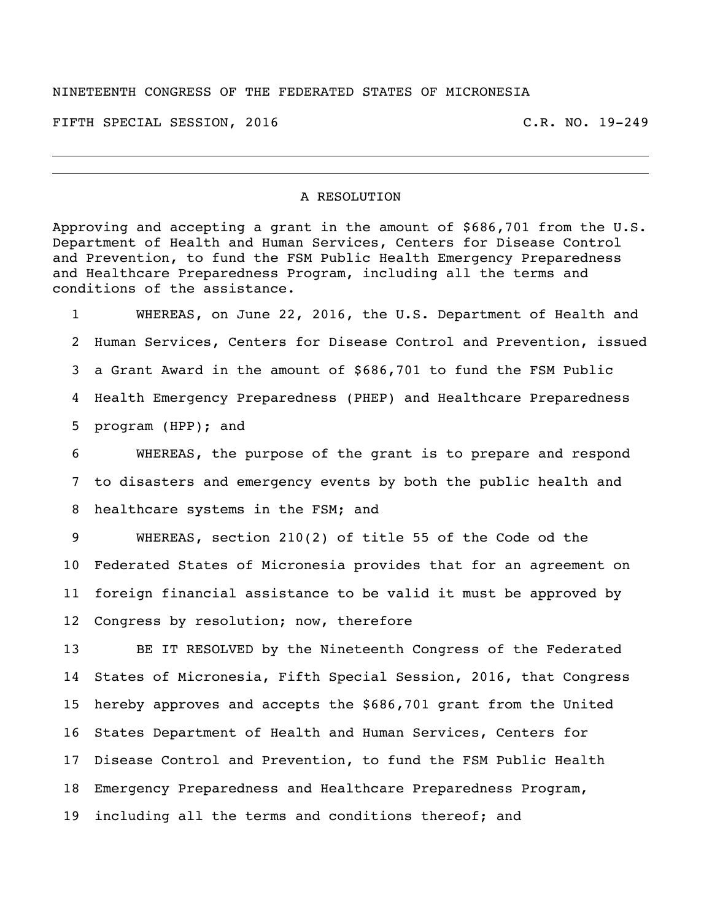## NINETEENTH CONGRESS OF THE FEDERATED STATES OF MICRONESIA

FIFTH SPECIAL SESSION, 2016 C.R. NO. 19-249

## A RESOLUTION

Approving and accepting a grant in the amount of \$686,701 from the U.S. Department of Health and Human Services, Centers for Disease Control and Prevention, to fund the FSM Public Health Emergency Preparedness and Healthcare Preparedness Program, including all the terms and conditions of the assistance.

 WHEREAS, on June 22, 2016, the U.S. Department of Health and Human Services, Centers for Disease Control and Prevention, issued a Grant Award in the amount of \$686,701 to fund the FSM Public Health Emergency Preparedness (PHEP) and Healthcare Preparedness program (HPP); and

 WHEREAS, the purpose of the grant is to prepare and respond to disasters and emergency events by both the public health and healthcare systems in the FSM; and

 WHEREAS, section 210(2) of title 55 of the Code od the Federated States of Micronesia provides that for an agreement on foreign financial assistance to be valid it must be approved by Congress by resolution; now, therefore

 BE IT RESOLVED by the Nineteenth Congress of the Federated States of Micronesia, Fifth Special Session, 2016, that Congress hereby approves and accepts the \$686,701 grant from the United States Department of Health and Human Services, Centers for Disease Control and Prevention, to fund the FSM Public Health Emergency Preparedness and Healthcare Preparedness Program, including all the terms and conditions thereof; and